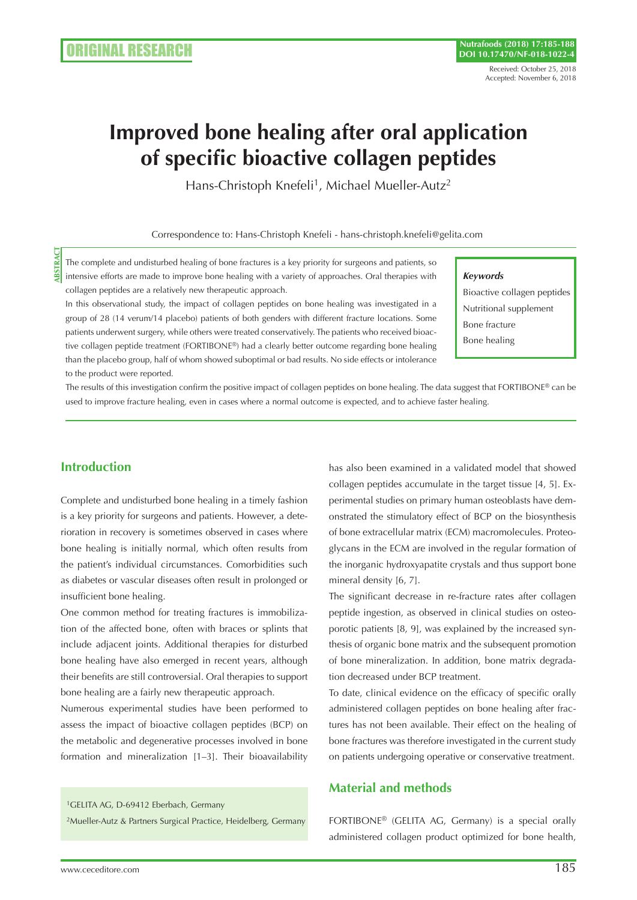# **Improved bone healing after oral application of specific bioactive collagen peptides**

Hans-Christoph Knefeli<sup>1</sup>, Michael Mueller-Autz<sup>2</sup>

Correspondence to: Hans-Christoph Knefeli - hans-christoph.knefeli@gelita.com

The complete and undisturbed healing of bone fractures is a key priority for surgeons and patients, so intensive efforts are made to improve bone healing with a variety of approaches. Oral therapies with collagen peptides are a relatively new therapeutic approach.

In this observational study, the impact of collagen peptides on bone healing was investigated in a group of 28 (14 verum/14 placebo) patients of both genders with different fracture locations. Some patients underwent surgery, while others were treated conservatively. The patients who received bioactive collagen peptide treatment (FORTIBONE®) had a clearly better outcome regarding bone healing than the placebo group, half of whom showed suboptimal or bad results. No side effects or intolerance to the product were reported.

#### *Keywords*

Bioactive collagen peptides Nutritional supplement Bone fracture Bone healing

The results of this investigation confirm the positive impact of collagen peptides on bone healing. The data suggest that FORTIBONE® can be used to improve fracture healing, even in cases where a normal outcome is expected, and to achieve faster healing.

# **Introduction**

**ABSTRACT**

**IBSTRAC** 

Complete and undisturbed bone healing in a timely fashion is a key priority for surgeons and patients. However, a deterioration in recovery is sometimes observed in cases where bone healing is initially normal, which often results from the patient's individual circumstances. Comorbidities such as diabetes or vascular diseases often result in prolonged or insufficient bone healing.

One common method for treating fractures is immobilization of the affected bone, often with braces or splints that include adjacent joints. Additional therapies for disturbed bone healing have also emerged in recent years, although their benefits are still controversial. Oral therapies to support bone healing are a fairly new therapeutic approach.

Numerous experimental studies have been performed to assess the impact of bioactive collagen peptides (BCP) on the metabolic and degenerative processes involved in bone formation and mineralization [1–3]. Their bioavailability

<sup>1</sup>GELITA AG, D-69412 Eberbach, Germany

2Mueller-Autz & Partners Surgical Practice, Heidelberg, Germany

has also been examined in a validated model that showed collagen peptides accumulate in the target tissue [4, 5]. Experimental studies on primary human osteoblasts have demonstrated the stimulatory effect of BCP on the biosynthesis of bone extracellular matrix (ECM) macromolecules. Proteoglycans in the ECM are involved in the regular formation of the inorganic hydroxyapatite crystals and thus support bone mineral density [6, 7].

The significant decrease in re-fracture rates after collagen peptide ingestion, as observed in clinical studies on osteoporotic patients [8, 9], was explained by the increased synthesis of organic bone matrix and the subsequent promotion of bone mineralization. In addition, bone matrix degradation decreased under BCP treatment.

To date, clinical evidence on the efficacy of specific orally administered collagen peptides on bone healing after fractures has not been available. Their effect on the healing of bone fractures was therefore investigated in the current study on patients undergoing operative or conservative treatment.

# **Material and methods**

FORTIBONE® (GELITA AG, Germany) is a special orally administered collagen product optimized for bone health,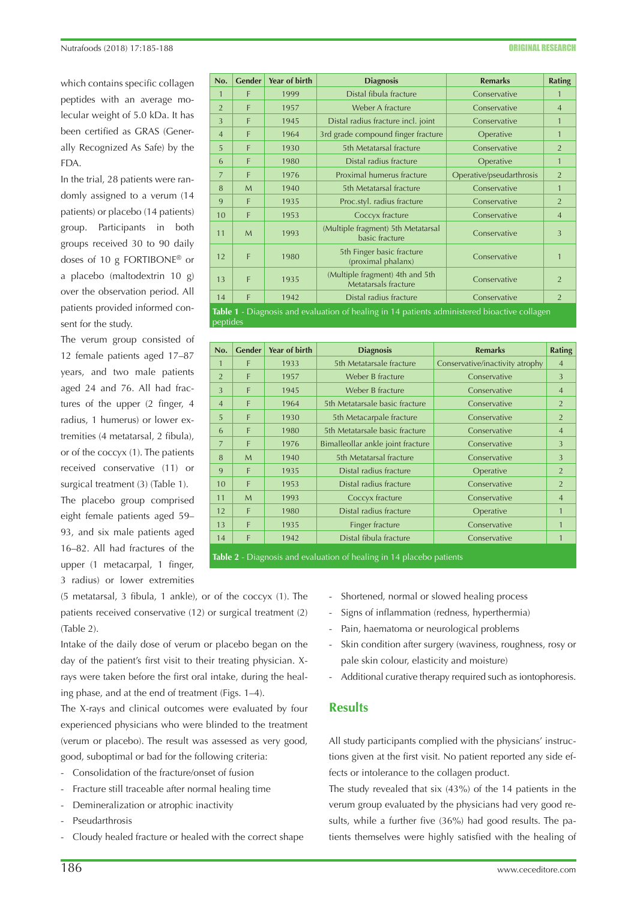which contains specific collagen peptides with an average molecular weight of 5.0 kDa. It has been certified as GRAS (Generally Recognized As Safe) by the FDA.

In the trial, 28 patients were randomly assigned to a verum (14 patients) or placebo (14 patients) group. Participants in both groups received 30 to 90 daily doses of 10 g FORTIBONE® or a placebo (maltodextrin 10 g) over the observation period. All patients provided informed consent for the study.

The verum group consisted of 12 female patients aged 17–87 years, and two male patients aged 24 and 76. All had fractures of the upper (2 finger, 4 radius, 1 humerus) or lower extremities (4 metatarsal, 2 fibula), or of the coccyx (1). The patients received conservative (11) or surgical treatment (3) (Table 1). The placebo group comprised eight female patients aged 59– 93, and six male patients aged 16–82. All had fractures of the upper (1 metacarpal, 1 finger, 3 radius) or lower extremities

| No.                                                                                                             | <b>Gender</b> | <b>Year of birth</b> | <b>Diagnosis</b>                                        | <b>Remarks</b>           | <b>Rating</b>  |  |  |  |  |
|-----------------------------------------------------------------------------------------------------------------|---------------|----------------------|---------------------------------------------------------|--------------------------|----------------|--|--|--|--|
| $\mathbf{1}$                                                                                                    | F             | 1999                 | Distal fibula fracture                                  | Conservative             |                |  |  |  |  |
| $\overline{2}$                                                                                                  | F             | 1957                 | Weber A fracture                                        | Conservative             | $\overline{4}$ |  |  |  |  |
| 3                                                                                                               | F             | 1945                 | Distal radius fracture incl. joint                      | Conservative             | $\mathbf{1}$   |  |  |  |  |
| $\overline{4}$                                                                                                  | F             | 1964                 | 3rd grade compound finger fracture                      | Operative                | $\mathbf{1}$   |  |  |  |  |
| 5                                                                                                               | F             | 1930                 | 5th Metatarsal fracture                                 | Conservative             | $\overline{2}$ |  |  |  |  |
| 6                                                                                                               | F             | 1980                 | Distal radius fracture                                  | Operative                | $\mathbf{1}$   |  |  |  |  |
| 7                                                                                                               | F             | 1976                 | Proximal humerus fracture                               | Operative/pseudarthrosis | $\overline{2}$ |  |  |  |  |
| 8                                                                                                               | M             | 1940                 | 5th Metatarsal fracture                                 | Conservative             | $\mathbf{1}$   |  |  |  |  |
| 9                                                                                                               | F             | 1935                 | Proc.styl. radius fracture                              | Conservative             | $\overline{2}$ |  |  |  |  |
| 10                                                                                                              | F             | 1953                 | Coccyx fracture                                         | Conservative             | $\overline{4}$ |  |  |  |  |
| 11                                                                                                              | $\mathsf{M}$  | 1993                 | (Multiple fragment) 5th Metatarsal<br>basic fracture    | Conservative             | $\overline{3}$ |  |  |  |  |
| 12                                                                                                              | F             | 1980                 | 5th Finger basic fracture<br>(proximal phalanx)         | Conservative             | $\mathbf{1}$   |  |  |  |  |
| 13                                                                                                              | F             | 1935                 | (Multiple fragment) 4th and 5th<br>Metatarsals fracture | Conservative             | $\overline{2}$ |  |  |  |  |
| 14                                                                                                              | F             | 1942                 | Distal radius fracture                                  | Conservative             | $\overline{2}$ |  |  |  |  |
| <b>Table 1</b> - Diagnosis and evaluation of healing in 14 patients administered bioactive collagen<br>peptides |               |                      |                                                         |                          |                |  |  |  |  |

| No.                                                                  | <b>Gender</b> | Year of birth | <b>Diagnosis</b>                  | <b>Remarks</b>                  | Rating         |  |  |  |
|----------------------------------------------------------------------|---------------|---------------|-----------------------------------|---------------------------------|----------------|--|--|--|
| $\mathbf{1}$                                                         | F             | 1933          | 5th Metatarsale fracture          | Conservative/inactivity atrophy | $\overline{4}$ |  |  |  |
| $\overline{2}$                                                       | F             | 1957          | Weber B fracture                  | Conservative                    | 3              |  |  |  |
| 3                                                                    | F             | 1945          | Weber B fracture                  | Conservative                    | $\overline{4}$ |  |  |  |
| $\overline{4}$                                                       | F             | 1964          | 5th Metatarsale basic fracture    | Conservative                    | $\overline{2}$ |  |  |  |
| 5                                                                    | F             | 1930          | 5th Metacarpale fracture          | Conservative                    | 2              |  |  |  |
| 6                                                                    | F             | 1980          | 5th Metatarsale basic fracture    | Conservative                    | $\overline{4}$ |  |  |  |
| $\overline{7}$                                                       | F             | 1976          | Bimalleollar ankle joint fracture | Conservative                    | 3              |  |  |  |
| 8                                                                    | $\mathsf{M}$  | 1940          | 5th Metatarsal fracture           | Conservative                    | 3              |  |  |  |
| 9                                                                    | F             | 1935          | Distal radius fracture            | Operative                       | $\overline{2}$ |  |  |  |
| 10                                                                   | F             | 1953          | Distal radius fracture            | Conservative                    | $\overline{2}$ |  |  |  |
| 11                                                                   | $\mathsf{M}$  | 1993          | Coccyx fracture                   | Conservative                    | $\overline{4}$ |  |  |  |
| 12                                                                   | F             | 1980          | Distal radius fracture            | Operative                       | 1              |  |  |  |
| 13                                                                   | F             | 1935          | Finger fracture                   | Conservative                    | $\mathbf{1}$   |  |  |  |
| 14                                                                   | F             | 1942          | Distal fibula fracture            | Conservative                    | 1              |  |  |  |
| Table 2 - Diagnosis and evaluation of healing in 14 placebo patients |               |               |                                   |                                 |                |  |  |  |

(5 metatarsal, 3 fibula, 1 ankle), or of the coccyx (1). The patients received conservative (12) or surgical treatment (2) (Table 2).

Intake of the daily dose of verum or placebo began on the day of the patient's first visit to their treating physician. Xrays were taken before the first oral intake, during the healing phase, and at the end of treatment (Figs. 1–4).

The X-rays and clinical outcomes were evaluated by four experienced physicians who were blinded to the treatment (verum or placebo). The result was assessed as very good, good, suboptimal or bad for the following criteria:

- Consolidation of the fracture/onset of fusion
- Fracture still traceable after normal healing time
- Demineralization or atrophic inactivity
- Pseudarthrosis
- Cloudy healed fracture or healed with the correct shape
- Shortened, normal or slowed healing process
- Signs of inflammation (redness, hyperthermia)
- Pain, haematoma or neurological problems
- Skin condition after surgery (waviness, roughness, rosy or pale skin colour, elasticity and moisture)
- Additional curative therapy required such as iontophoresis.

### **Results**

All study participants complied with the physicians' instructions given at the first visit. No patient reported any side effects or intolerance to the collagen product.

The study revealed that six (43%) of the 14 patients in the verum group evaluated by the physicians had very good results, while a further five (36%) had good results. The patients themselves were highly satisfied with the healing of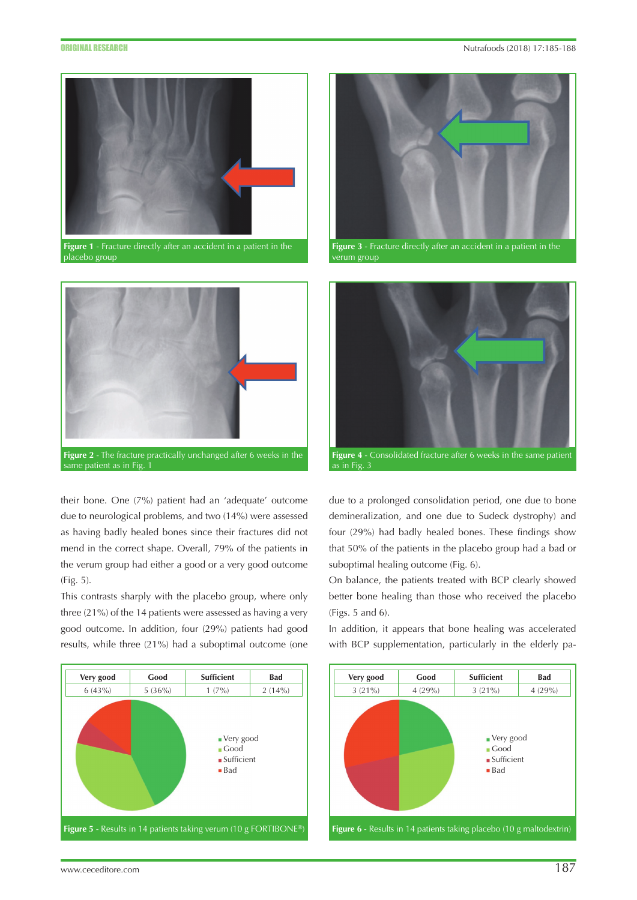

**Figure 1** - Fracture directly after an accident in <u>a patient in the</u> placebo group



same patient as in Fig.  $\frac{1}{2}$ 

their bone. One (7%) patient had an 'adequate' outcome due to neurological problems, and two (14%) were assessed as having badly healed bones since their fractures did not mend in the correct shape. Overall, 79% of the patients in the verum group had either a good or a very good outcome (Fig. 5).

This contrasts sharply with the placebo group, where only three (21%) of the 14 patients were assessed as having a very good outcome. In addition, four (29%) patients had good results, while three (21%) had a suboptimal outcome (one





**Figure 3** - Fracture directly after an accident in a patient in the verum group



due to a prolonged consolidation period, one due to bone demineralization, and one due to Sudeck dystrophy) and four (29%) had badly healed bones. These findings show that 50% of the patients in the placebo group had a bad or suboptimal healing outcome (Fig. 6).

On balance, the patients treated with BCP clearly showed better bone healing than those who received the placebo (Figs. 5 and 6).

In addition, it appears that bone healing was accelerated with BCP supplementation, particularly in the elderly pa-